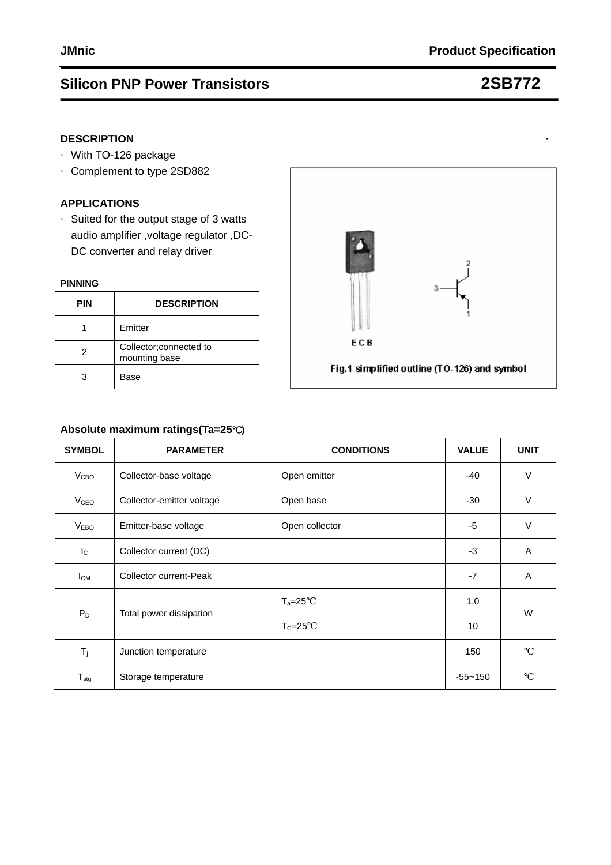## **DESCRIPTION**

- ·With TO-126 package
- ·Complement to type 2SD882

### **APPLICATIONS**

·Suited for the output stage of 3 watts audio amplifier ,voltage regulator ,DC- DC converter and relay driver

### **PINNING**

| PIN | <b>DESCRIPTION</b>                       |  |
|-----|------------------------------------------|--|
|     | Emitter                                  |  |
| 2   | Collector; connected to<br>mounting base |  |
|     | Base                                     |  |



## **Absolute maximum ratings(Ta=25**℃**)**

| <b>SYMBOL</b>          | <b>PARAMETER</b>                       | <b>CONDITIONS</b> | <b>VALUE</b> | <b>UNIT</b> |  |
|------------------------|----------------------------------------|-------------------|--------------|-------------|--|
| V <sub>CBO</sub>       | Collector-base voltage                 | Open emitter      |              | $\vee$      |  |
| <b>V<sub>CEO</sub></b> | Collector-emitter voltage<br>Open base |                   | $-30$        | $\vee$      |  |
| V <sub>EBO</sub>       | Emitter-base voltage<br>Open collector |                   | $-5$         | $\vee$      |  |
| $I_{\rm C}$            | Collector current (DC)                 |                   | $-3$         | A           |  |
| $I_{CM}$               | Collector current-Peak                 |                   | $-7$         | A           |  |
| $P_D$                  |                                        | $T_a=25$          | 1.0          | W           |  |
|                        | Total power dissipation                | $T_c = 25$        | 10           |             |  |
| $T_j$                  | Junction temperature                   |                   | 150          |             |  |
| $T_{\text{stg}}$       | Storage temperature                    |                   | $-55 - 150$  |             |  |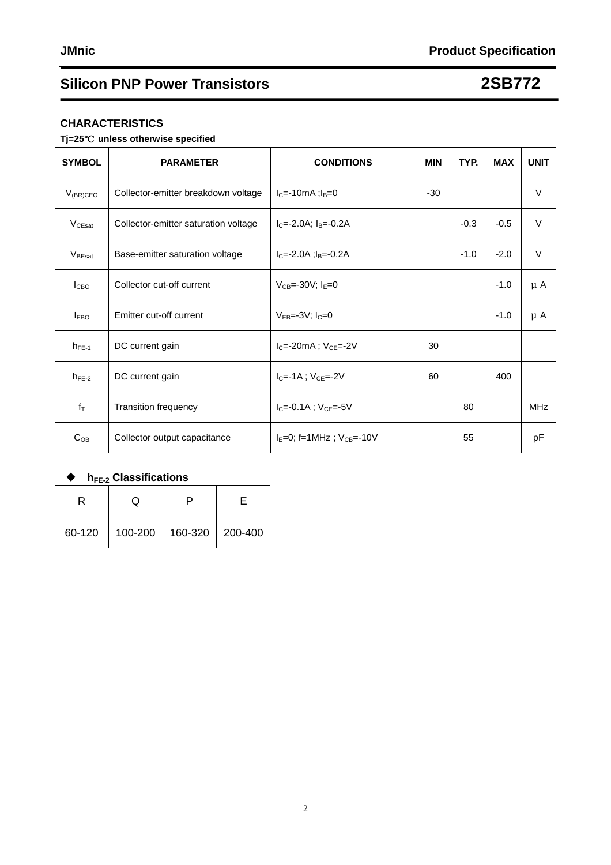### **CHARACTERISTICS**

### **Tj=25**℃ **unless otherwise specified**

| <b>SYMBOL</b>      | <b>PARAMETER</b>                     | <b>CONDITIONS</b>               | <b>MIN</b> | TYP.   | <b>MAX</b> | <b>UNIT</b> |
|--------------------|--------------------------------------|---------------------------------|------------|--------|------------|-------------|
| $V_{(BR)CEO}$      | Collector-emitter breakdown voltage  | $I_{C} = -10$ mA ; $I_{B} = 0$  | $-30$      |        |            | $\vee$      |
| V <sub>CEsat</sub> | Collector-emitter saturation voltage | $I_C = -2.0A$ ; $I_B = -0.2A$   |            | $-0.3$ | $-0.5$     | $\vee$      |
| VBEsat             | Base-emitter saturation voltage      | $IC=-2.0A$ ; $IB=-0.2A$         |            | $-1.0$ | $-2.0$     | $\vee$      |
| I <sub>CBO</sub>   | Collector cut-off current            | $V_{CB} = -30V$ ; $I_F = 0$     |            |        | $-1.0$     | μA          |
| <b>IEBO</b>        | Emitter cut-off current              | $V_{FB} = -3V$ : $I_C = 0$      |            |        | $-1.0$     | $\mu$ A     |
| $h_{FE-1}$         | DC current gain                      | $IC=-20mA$ ; $VCE=-2V$          | 30         |        |            |             |
| $h_{FE-2}$         | DC current gain                      | $I_{C} = -1A$ ; $V_{C} = -2V$   | 60         |        | 400        |             |
| $f_T$              | <b>Transition frequency</b>          | $IC=-0.1A$ ; $VCF=-5V$          |            | 80     |            | <b>MHz</b>  |
| $C_{OB}$           | Collector output capacitance         | $I_E=0$ ; f=1MHz; $V_{CB}=-10V$ |            | 55     |            | pF          |

## ◆ h<sub>FE-2</sub> Classifications

| . <del>.</del> . <del>.</del> |         |                 |  |  |  |
|-------------------------------|---------|-----------------|--|--|--|
|                               | L)      |                 |  |  |  |
| 60-120                        | 100-200 | 160-320 200-400 |  |  |  |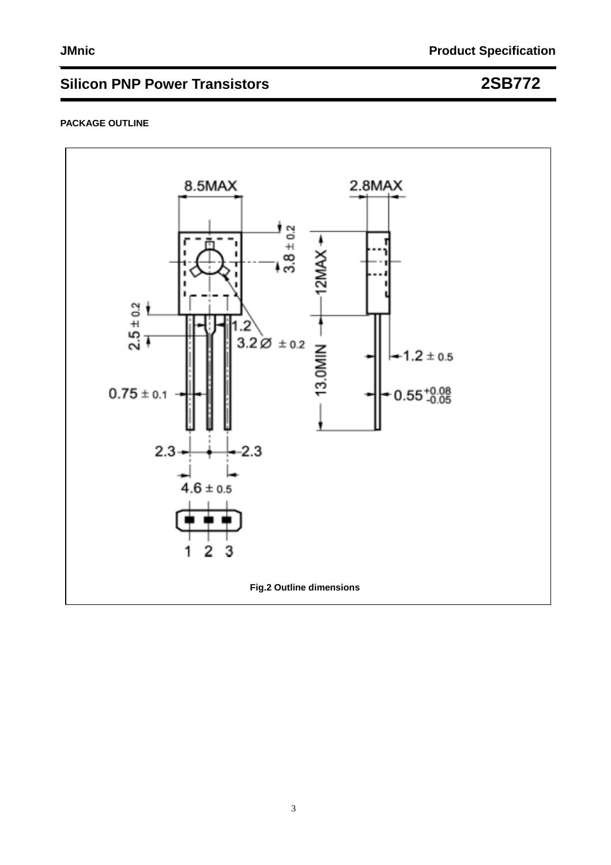### **PACKAGE OUTLINE**

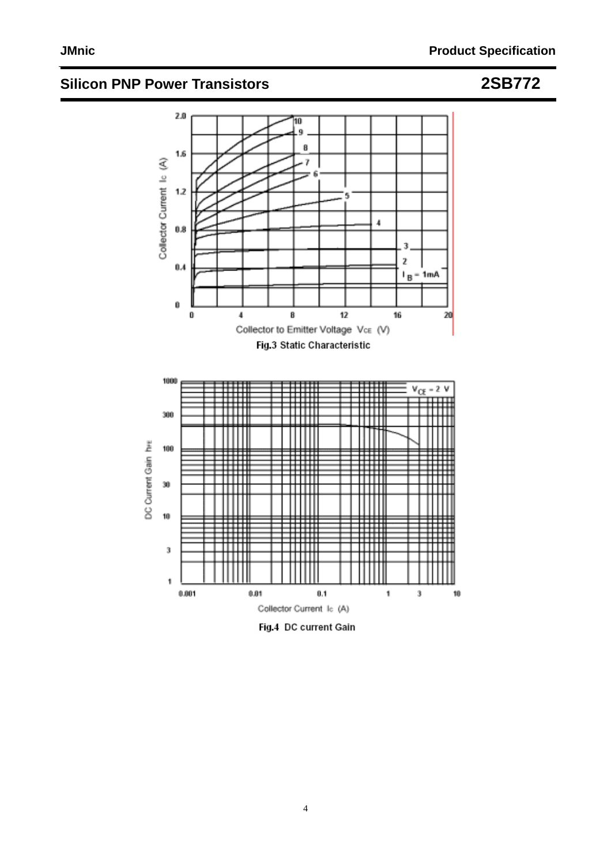